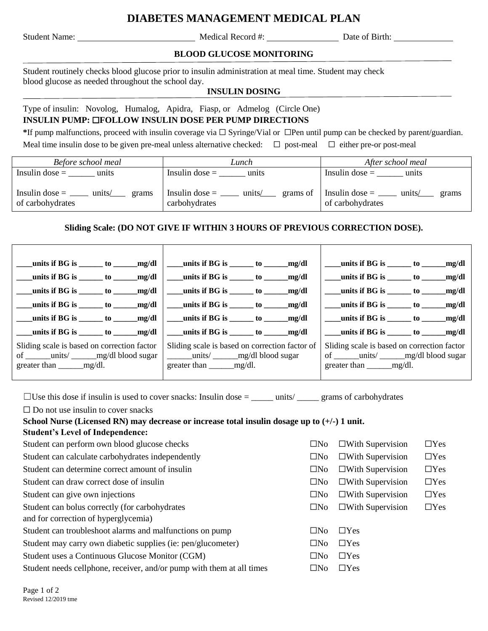# **DIABETES MANAGEMENT MEDICAL PLAN**

Student Name: Medical Record #: Date of Birth:

## **BLOOD GLUCOSE MONITORING**

Student routinely checks blood glucose prior to insulin administration at meal time. Student may check blood glucose as needed throughout the school day.

#### **INSULIN DOSING**

Type of insulin: Novolog, Humalog, Apidra, Fiasp, or Admelog (Circle One) **INSULIN PUMP:** ☐**FOLLOW INSULIN DOSE PER PUMP DIRECTIONS** 

**\***If pump malfunctions, proceed with insulin coverage via ☐ Syringe/Vial or ☐Pen until pump can be checked by parent/guardian. Meal time insulin dose to be given pre-meal unless alternative checked:  $\Box$  post-meal  $\Box$  either pre-or post-meal

| Before school meal | Lunch            | After school meal         |
|--------------------|------------------|---------------------------|
| Insulin dose $=$   | Insulin dose $=$ | Insulin dose $=$          |
| units              | units            | units                     |
| Insulin dose $=$   | Insulin dose $=$ | $\ln \text{sulin dose} =$ |
| units/             | grams of         | units/                    |
| grams              | units/           | grams                     |
| of carbohydrates   | carbohydrates    | of carbohydrates          |

## **Sliding Scale: (DO NOT GIVE IF WITHIN 3 HOURS OF PREVIOUS CORRECTION DOSE).**

|                                                                                                                                | $\frac{1}{2}$ units if BG is $\frac{1}{2}$ to $\frac{1}{2}$ mg/dl                  | $\frac{1}{2}$ units if BG is $\frac{1}{2}$ to $\frac{1}{2}$ mg/dl |
|--------------------------------------------------------------------------------------------------------------------------------|------------------------------------------------------------------------------------|-------------------------------------------------------------------|
| $\frac{1}{2}$ units if BG is $\frac{1}{2}$ to $\frac{1}{2}$ mg/dl                                                              | $\frac{1}{2}$ units if BG is $\frac{1}{2}$ to $\frac{1}{2}$ mg/dl                  | $\frac{1}{2}$ units if BG is $\frac{1}{2}$ to $\frac{1}{2}$ mg/dl |
| $\frac{1}{2}$ units if BG is $\frac{1}{2}$ to $\frac{1}{2}$ mg/dl                                                              | $\frac{1}{2}$ units if BG is $\frac{1}{2}$ to $\frac{1}{2}$ mg/dl                  | $units if BG is$ to $mg/dl$                                       |
| $\frac{1}{2}$ units if BG is $\frac{1}{2}$ to $\frac{1}{2}$ mg/dl $\frac{1}{2}$                                                | $\frac{1}{2}$ units if BG is $\frac{1}{2}$ to $\frac{1}{2}$ mg/dl                  | $units if BG is$ to $mg/dl$                                       |
| $\frac{1}{2}$ units if BG is $\frac{1}{2}$ to $\frac{1}{2}$ mg/dl                                                              | $\frac{1}{2}$ units if BG is $\frac{1}{2}$ to $\frac{1}{2}$ mg/dl                  | $\frac{1}{2}$ units if BG is $\frac{1}{2}$ to $\frac{1}{2}$ mg/dl |
| $\frac{1}{2}$ units if BG is $\frac{1}{2}$ to $\frac{1}{2}$ mg/dl                                                              | $\frac{1}{2}$ units if BG is $\frac{1}{2}$ to $\frac{1}{2}$ mg/dl                  | $\frac{1}{2}$ units if BG is $\frac{1}{2}$ to $\frac{1}{2}$ mg/dl |
| Sliding scale is based on correction factor<br>of ________ units/ ________ mg/dl blood sugar<br>greater than $\_\_\_\_$ mg/dl. | Sliding scale is based on correction factor<br>greater than $\_\_\_\_\_\_\$ ng/dl. |                                                                   |

 $\Box$ Use this dose if insulin is used to cover snacks: Insulin dose = \_\_\_\_\_ units/  $\Box$  grams of carbohydrates

 $\Box$  Do not use insulin to cover snacks

| School Nurse (Licensed RN) may decrease or increase total insulin dosage up to $(+)$ 1 unit. |  |                                         |            |
|----------------------------------------------------------------------------------------------|--|-----------------------------------------|------------|
| <b>Student's Level of Independence:</b>                                                      |  |                                         |            |
| Student can perform own blood glucose checks                                                 |  | $\square$ No $\square$ With Supervision | $\Box$ Yes |
| Student can calculate carbohydrates independently                                            |  | $\square$ No $\square$ With Supervision | $\Box$ Yes |

| Student can determine correct amount of insulin                       | $\square$ No | $\Box$ With Supervision | $\Box$ Yes |
|-----------------------------------------------------------------------|--------------|-------------------------|------------|
| Student can draw correct dose of insulin                              | $\square$ No | $\Box$ With Supervision | $\Box$ Yes |
| Student can give own injections                                       | $\square$ No | $\Box$ With Supervision | $\Box$ Yes |
| Student can bolus correctly (for carbohydrates)                       | $\Box$ No    | $\Box$ With Supervision | $\Box$ Yes |
| and for correction of hyperglycemia)                                  |              |                         |            |
| Student can troubleshoot alarms and malfunctions on pump              | $\square$ No | $\Box$ Yes              |            |
| Student may carry own diabetic supplies (ie: pen/glucometer)          | $\Box$ No    | $\Box$ Yes              |            |
| Student uses a Continuous Glucose Monitor (CGM)                       |              | $\Box$ Yes              |            |
| Student needs cellphone, receiver, and/or pump with them at all times | $\square$ No | $\Box$ Yes              |            |